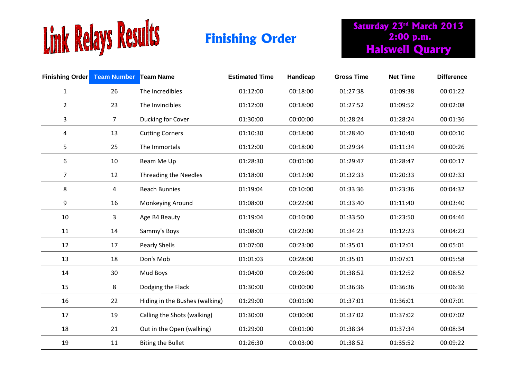

**Saturday 23rd March 2013 2:00 p.m. Finishing Order 1988** 2:00 p.m.<br> **Halswell Quarry** 

| <b>Finishing Order</b> Team Number |                | <b>Team Name</b>               | <b>Estimated Time</b> | Handicap | <b>Gross Time</b> | <b>Net Time</b> | <b>Difference</b> |
|------------------------------------|----------------|--------------------------------|-----------------------|----------|-------------------|-----------------|-------------------|
| $\mathbf{1}$                       | 26             | The Incredibles                | 01:12:00              | 00:18:00 | 01:27:38          | 01:09:38        | 00:01:22          |
| $\overline{2}$                     | 23             | The Invincibles                | 01:12:00              | 00:18:00 | 01:27:52          | 01:09:52        | 00:02:08          |
| 3                                  | 7 <sup>1</sup> | Ducking for Cover              | 01:30:00              | 00:00:00 | 01:28:24          | 01:28:24        | 00:01:36          |
| 4                                  | 13             | <b>Cutting Corners</b>         | 01:10:30              | 00:18:00 | 01:28:40          | 01:10:40        | 00:00:10          |
| 5                                  | 25             | The Immortals                  | 01:12:00              | 00:18:00 | 01:29:34          | 01:11:34        | 00:00:26          |
| 6                                  | 10             | Beam Me Up                     | 01:28:30              | 00:01:00 | 01:29:47          | 01:28:47        | 00:00:17          |
| $\overline{7}$                     | 12             | Threading the Needles          | 01:18:00              | 00:12:00 | 01:32:33          | 01:20:33        | 00:02:33          |
| 8                                  | 4              | <b>Beach Bunnies</b>           | 01:19:04              | 00:10:00 | 01:33:36          | 01:23:36        | 00:04:32          |
| 9                                  | 16             | Monkeying Around               | 01:08:00              | 00:22:00 | 01:33:40          | 01:11:40        | 00:03:40          |
| 10                                 | 3              | Age B4 Beauty                  | 01:19:04              | 00:10:00 | 01:33:50          | 01:23:50        | 00:04:46          |
| 11                                 | 14             | Sammy's Boys                   | 01:08:00              | 00:22:00 | 01:34:23          | 01:12:23        | 00:04:23          |
| 12                                 | 17             | <b>Pearly Shells</b>           | 01:07:00              | 00:23:00 | 01:35:01          | 01:12:01        | 00:05:01          |
| 13                                 | 18             | Don's Mob                      | 01:01:03              | 00:28:00 | 01:35:01          | 01:07:01        | 00:05:58          |
| 14                                 | 30             | Mud Boys                       | 01:04:00              | 00:26:00 | 01:38:52          | 01:12:52        | 00:08:52          |
| 15                                 | 8              | Dodging the Flack              | 01:30:00              | 00:00:00 | 01:36:36          | 01:36:36        | 00:06:36          |
| 16                                 | 22             | Hiding in the Bushes (walking) | 01:29:00              | 00:01:00 | 01:37:01          | 01:36:01        | 00:07:01          |
| 17                                 | 19             | Calling the Shots (walking)    | 01:30:00              | 00:00:00 | 01:37:02          | 01:37:02        | 00:07:02          |
| 18                                 | 21             | Out in the Open (walking)      | 01:29:00              | 00:01:00 | 01:38:34          | 01:37:34        | 00:08:34          |
| 19                                 | 11             | <b>Biting the Bullet</b>       | 01:26:30              | 00:03:00 | 01:38:52          | 01:35:52        | 00:09:22          |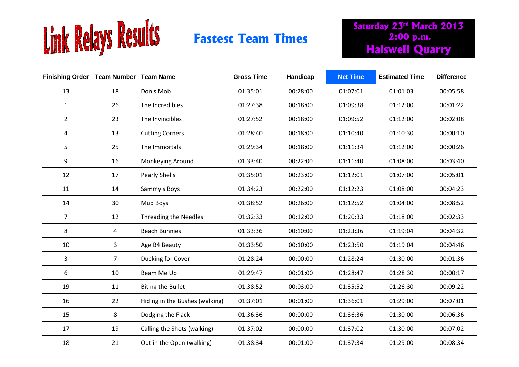

## **Fastest Team Times**

**Saturday 23rd March 2013 2:00 p.m. Halswell Quarry**

| Finishing Order Team Number Team Name |                |                                | <b>Gross Time</b> | Handicap | <b>Net Time</b> | <b>Estimated Time</b> | <b>Difference</b> |
|---------------------------------------|----------------|--------------------------------|-------------------|----------|-----------------|-----------------------|-------------------|
| 13                                    | 18             | Don's Mob                      | 01:35:01          | 00:28:00 | 01:07:01        | 01:01:03              | 00:05:58          |
| $\mathbf{1}$                          | 26             | The Incredibles                | 01:27:38          | 00:18:00 | 01:09:38        | 01:12:00              | 00:01:22          |
| $\overline{2}$                        | 23             | The Invincibles                | 01:27:52          | 00:18:00 | 01:09:52        | 01:12:00              | 00:02:08          |
| 4                                     | 13             | <b>Cutting Corners</b>         | 01:28:40          | 00:18:00 | 01:10:40        | 01:10:30              | 00:00:10          |
| 5                                     | 25             | The Immortals                  | 01:29:34          | 00:18:00 | 01:11:34        | 01:12:00              | 00:00:26          |
| 9                                     | 16             | Monkeying Around               | 01:33:40          | 00:22:00 | 01:11:40        | 01:08:00              | 00:03:40          |
| 12                                    | 17             | Pearly Shells                  | 01:35:01          | 00:23:00 | 01:12:01        | 01:07:00              | 00:05:01          |
| 11                                    | 14             | Sammy's Boys                   | 01:34:23          | 00:22:00 | 01:12:23        | 01:08:00              | 00:04:23          |
| 14                                    | 30             | Mud Boys                       | 01:38:52          | 00:26:00 | 01:12:52        | 01:04:00              | 00:08:52          |
| 7                                     | 12             | Threading the Needles          | 01:32:33          | 00:12:00 | 01:20:33        | 01:18:00              | 00:02:33          |
| 8                                     | 4              | <b>Beach Bunnies</b>           | 01:33:36          | 00:10:00 | 01:23:36        | 01:19:04              | 00:04:32          |
| 10                                    | 3              | Age B4 Beauty                  | 01:33:50          | 00:10:00 | 01:23:50        | 01:19:04              | 00:04:46          |
| 3                                     | 7 <sup>1</sup> | Ducking for Cover              | 01:28:24          | 00:00:00 | 01:28:24        | 01:30:00              | 00:01:36          |
| 6                                     | 10             | Beam Me Up                     | 01:29:47          | 00:01:00 | 01:28:47        | 01:28:30              | 00:00:17          |
| 19                                    | 11             | <b>Biting the Bullet</b>       | 01:38:52          | 00:03:00 | 01:35:52        | 01:26:30              | 00:09:22          |
| 16                                    | 22             | Hiding in the Bushes (walking) | 01:37:01          | 00:01:00 | 01:36:01        | 01:29:00              | 00:07:01          |
| 15                                    | 8              | Dodging the Flack              | 01:36:36          | 00:00:00 | 01:36:36        | 01:30:00              | 00:06:36          |
| 17                                    | 19             | Calling the Shots (walking)    | 01:37:02          | 00:00:00 | 01:37:02        | 01:30:00              | 00:07:02          |
| 18                                    | 21             | Out in the Open (walking)      | 01:38:34          | 00:01:00 | 01:37:34        | 01:29:00              | 00:08:34          |